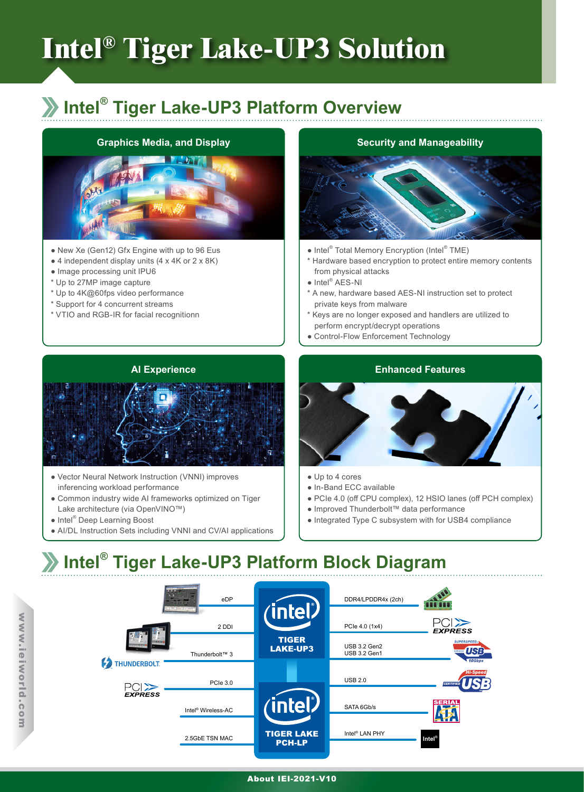# **Intel® Tiger Lake-UP3 Solution**

## **Intel® Tiger Lake-UP3 Platform Overview**

#### **Graphics Media, and Display**



- New Xe (Gen12) Gfx Engine with up to 96 Eus
- $\bullet$  4 independent display units (4 x 4K or 2 x 8K)
- Image processing unit IPU6
- \* Up to 27MP image capture
- \* Up to 4K@60fps video performance
- \* Support for 4 concurrent streams
- \* VTIO and RGB-IR for facial recognitionn

#### **Security and Manageability**



- Intel<sup>®</sup> Total Memory Encryption (Intel<sup>®</sup> TME)
- \* Hardware based encryption to protect entire memory contents from physical attacks
- Intel<sup>®</sup> AES-NI
- \* A new, hardware based AES-NI instruction set to protect private keys from malware
- \* Keys are no longer exposed and handlers are utilized to perform encrypt/decrypt operations
- Control-Flow Enforcement Technology

#### **AI Experience**



- Vector Neural Network Instruction (VNNI) improves inferencing workload performance
- Common industry wide AI frameworks optimized on Tiger Lake architecture (via OpenVINO™)
- Intel® Deep Learning Boost
- AI/DL Instruction Sets including VNNI and CV/AI applications

#### **Enhanced Features**



- Up to 4 cores
- In-Band ECC available
- PCIe 4.0 (off CPU complex), 12 HSIO lanes (off PCH complex)
- Improved Thunderbolt™ data performance
- Integrated Type C subsystem with for USB4 compliance

# **Intel® Tiger Lake-UP3 Platform Block Diagram**